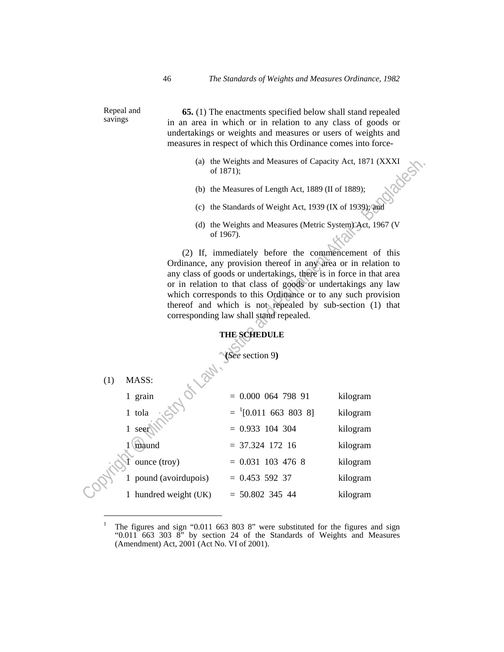Repeal and savings

 $\overline{a}$ 

 **65.** (1) The enactments specified below shall stand repealed in an area in which or in relation to any class of goods or undertakings or weights and measures or users of weights and measures in respect of which this Ordinance comes into force-

- (a) the Weights and Measures of Capacity Act, 1871 (XXXI of 1871);<br>
(b) the Measures of Langth is of 1871);
- (b) the Measures of Length Act, 1889 (II of 1889);
- (c) the Standards of Weight Act, 1939 (IX of 1939); and
- (d) the Weights and Measures (Metric System) Act, 1967 (V of 1967).

|                                                                                                                                                                                                                                                                                                                                                                                                                                                                                            | of 1871);                                               | (a) the Weights and Measures of Capacity Act, 1871 (XXXI |          |
|--------------------------------------------------------------------------------------------------------------------------------------------------------------------------------------------------------------------------------------------------------------------------------------------------------------------------------------------------------------------------------------------------------------------------------------------------------------------------------------------|---------------------------------------------------------|----------------------------------------------------------|----------|
|                                                                                                                                                                                                                                                                                                                                                                                                                                                                                            |                                                         | (b) the Measures of Length Act, 1889 (II of 1889);       |          |
|                                                                                                                                                                                                                                                                                                                                                                                                                                                                                            | (c) the Standards of Weight Act, 1939 (IX of 1939); and |                                                          |          |
| (d) the Weights and Measures (Metric System) Act, 1967 (V)<br>of 1967).                                                                                                                                                                                                                                                                                                                                                                                                                    |                                                         |                                                          |          |
| (2) If, immediately before the commencement of this<br>Ordinance, any provision thereof in any area or in relation to<br>any class of goods or undertakings, there is in force in that area<br>or in relation to that class of goods or undertakings any law<br>which corresponds to this Ordinance or to any such provision<br>thereof and which is not repealed by sub-section (1) that<br>corresponding law shall stand repealed.<br><b>THE SCHEDULE</b><br>(See section 9)<br>Or Days. |                                                         |                                                          |          |
| (1)                                                                                                                                                                                                                                                                                                                                                                                                                                                                                        | MASS:                                                   |                                                          |          |
|                                                                                                                                                                                                                                                                                                                                                                                                                                                                                            | 1 grain                                                 | $= 0.00006479891$                                        | kilogram |
|                                                                                                                                                                                                                                                                                                                                                                                                                                                                                            | 1 tola                                                  | $^{1}[0.011 \ 663 \ 803 \ 8]$                            | kilogram |
|                                                                                                                                                                                                                                                                                                                                                                                                                                                                                            | 1 seer                                                  | $= 0.933$ 104 304                                        | kilogram |
|                                                                                                                                                                                                                                                                                                                                                                                                                                                                                            | 1 (maund                                                | $= 37.324$ 172 16                                        | kilogram |
|                                                                                                                                                                                                                                                                                                                                                                                                                                                                                            | ounce (troy)                                            | $= 0.031$ 103 476 8                                      | kilogram |
|                                                                                                                                                                                                                                                                                                                                                                                                                                                                                            | 1 pound (avoirdupois)                                   | $= 0.453$ 592 37                                         | kilogram |
|                                                                                                                                                                                                                                                                                                                                                                                                                                                                                            | 1 hundred weight (UK)                                   | $= 50.802$ 345 44                                        | kilogram |

<sup>1</sup> The figures and sign "0.011 663 803 8" were substituted for the figures and sign "0.011 663 303 8" by section 24 of the Standards of Weights and Measures (Amendment) Act, 2001 (Act No. VI of 2001).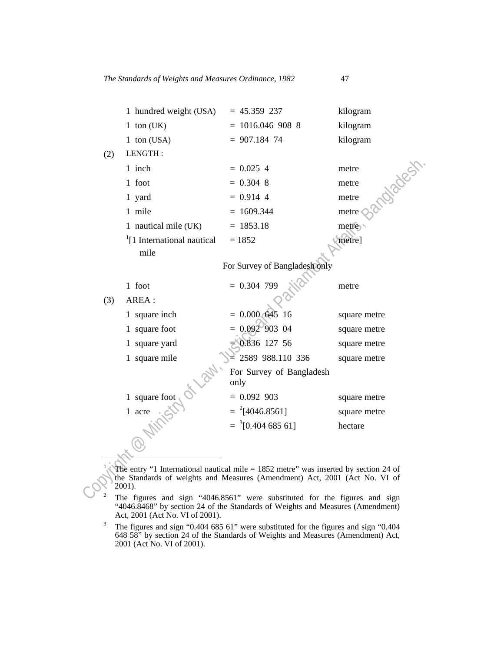|     | 1 hundred weight (USA) | $= 45.359237$                             | kilogram |
|-----|------------------------|-------------------------------------------|----------|
|     | 1 ton $(UK)$           | $= 1016.0469088$                          | kilogram |
|     | 1 ton $(USA)$          | $= 907.184$ 74                            | kilogram |
| (2) | LENGTH:                |                                           |          |
|     | 1 inch                 | $= 0.025$ 4                               | metre    |
|     | foot<br>$\mathbf{1}$   | $= 0.304$ 8                               | metre    |
|     | 1 yard                 | $= 0.914$ 4                               | metre    |
|     |                        | $\sim$ $\sim$ $\sim$ $\sim$ $\sim$ $\sim$ |          |

| 1 ruw                                   | _            |                  |
|-----------------------------------------|--------------|------------------|
| mile                                    | $= 1609.344$ | metre $\bigcirc$ |
| 1 nautical mile (UK)                    | $= 1853.18$  | metre            |
| <sup>1</sup> [1 International nautical] | $= 1852$     | metre]           |
| mile                                    |              |                  |

|                                                                                                                                                                                | 1 inch                                         | $= 0.025$ 4                                                                | <b>Oileage</b><br>metre |
|--------------------------------------------------------------------------------------------------------------------------------------------------------------------------------|------------------------------------------------|----------------------------------------------------------------------------|-------------------------|
|                                                                                                                                                                                | 1 foot                                         | $= 0.304$ 8                                                                | metre                   |
|                                                                                                                                                                                | 1 yard                                         | $= 0.914$ 4                                                                | metre                   |
|                                                                                                                                                                                | 1 mile                                         | $= 1609.344$                                                               | metre                   |
|                                                                                                                                                                                | 1 nautical mile (UK)                           | $= 1853.18$                                                                | metre                   |
|                                                                                                                                                                                | <sup>1</sup> [1 International nautical<br>mile | $= 1852$                                                                   | metre]                  |
|                                                                                                                                                                                |                                                | For Survey of Bangladesh only                                              |                         |
|                                                                                                                                                                                | 1 foot                                         | $= 0.304$ 799                                                              | metre                   |
| (3)                                                                                                                                                                            | AREA :                                         |                                                                            |                         |
|                                                                                                                                                                                | 1 square inch                                  | $= 0.000$ 645<br>16                                                        | square metre            |
|                                                                                                                                                                                | 1 square foot                                  | $0.092^{6}903$ 04                                                          | square metre            |
|                                                                                                                                                                                | 1 square yard                                  | 0.836 127 56                                                               | square metre            |
|                                                                                                                                                                                | 1 square mile                                  | 2589 988.110 336                                                           | square metre            |
|                                                                                                                                                                                |                                                | For Survey of Bangladesh<br>only                                           |                         |
|                                                                                                                                                                                | 1 square foot                                  | $= 0.092$ 903                                                              | square metre            |
|                                                                                                                                                                                | 1 acre                                         | $=$ <sup>2</sup> [4046.8561]                                               | square metre            |
|                                                                                                                                                                                |                                                | $=$ $^{3}[0.404 685 61]$                                                   | hectare                 |
|                                                                                                                                                                                |                                                |                                                                            |                         |
|                                                                                                                                                                                |                                                |                                                                            |                         |
| The entry "1 International nautical mile $= 1852$ metre" was inserted by section 24 of<br>the Standards of weights and Measures (Amendment) Act, 2001 (Act No. VI of<br>2001). |                                                |                                                                            |                         |
|                                                                                                                                                                                |                                                | The figures and sign "4046.8561" were substituted for the figures and sign |                         |

The figures and sign "4046.8561" were substituted for the figures and sign "4046.8468" by section 24 of the Standards of Weights and Measures (Amendment) Act, 2001 (Act No. VI of 2001).<br><sup>3</sup> The figures and sign "0.404.685"

The figures and sign "0.404 685 61" were substituted for the figures and sign "0.404 648 58" by section 24 of the Standards of Weights and Measures (Amendment) Act, 2001 (Act No. VI of 2001).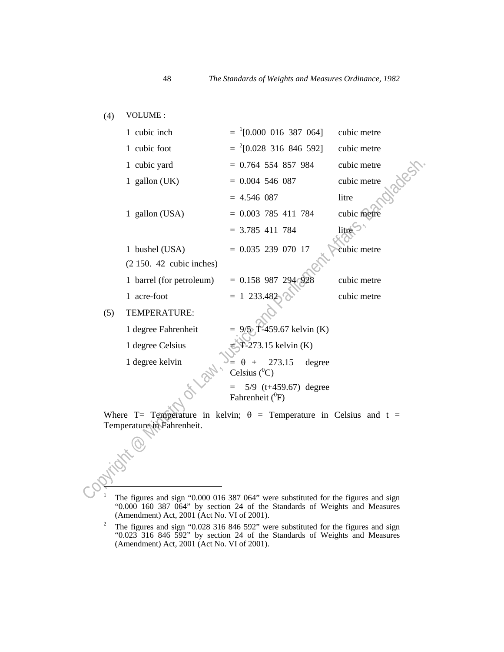(4) VOLUME :

|                                                                                    | 1 cubic inch              | $=$ <sup>1</sup> [0.000 016 387 064]              | cubic metre |  |
|------------------------------------------------------------------------------------|---------------------------|---------------------------------------------------|-------------|--|
|                                                                                    | 1 cubic foot              | $=$ <sup>2</sup> [0.028 316 846 592]              | cubic metre |  |
|                                                                                    | 1 cubic yard              | $= 0.764$ 554 857 984                             | cubic metre |  |
|                                                                                    | 1 gallon $(UK)$           | $= 0.004$ 546 087                                 | cubic metre |  |
|                                                                                    |                           | $= 4.546 087$                                     | litre       |  |
|                                                                                    | 1 gallon (USA)            | $= 0.003$ 785 411 784                             | cubic metre |  |
|                                                                                    |                           | $= 3.785$ 411 784                                 | litre       |  |
|                                                                                    | 1 bushel (USA)            | $= 0.035 239 070 17$                              | cubic metre |  |
|                                                                                    | $(2150. 42$ cubic inches) |                                                   |             |  |
|                                                                                    | 1 barrel (for petroleum)  | $= 0.158$ 987 294 92                              | cubic metre |  |
|                                                                                    | 1 acre-foot               | $= 1233.482$                                      | cubic metre |  |
| (5)                                                                                | TEMPERATURE:              |                                                   |             |  |
|                                                                                    | 1 degree Fahrenheit       | $9/5$ , T-459.67 kelvin (K)                       |             |  |
|                                                                                    | 1 degree Celsius          | $T-273.15$ kelvin (K)                             |             |  |
|                                                                                    | 1 degree kelvin           | 273.15<br>degree<br>$\theta +$<br>Celsius $(^0C)$ |             |  |
| $5/9$ (t+459.67) degree<br>Fahrenheit ( <sup>0</sup> F)                            |                           |                                                   |             |  |
| Where T= Temperature in kelvin; $\theta$ = Temperature in Celsius and t =          |                           |                                                   |             |  |
| Temperature in Fahrenheit.                                                         |                           |                                                   |             |  |
|                                                                                    |                           |                                                   |             |  |
|                                                                                    |                           |                                                   |             |  |
|                                                                                    |                           |                                                   |             |  |
|                                                                                    |                           |                                                   |             |  |
| The figures and sign "0.000.016.387.064" were substituted for the figures and sign |                           |                                                   |             |  |

The figures and sign "0.000 016 387 064" were substituted for the figures and sign "0.000 160 387 064" by section 24 of the Standards of Weights and Measures (Amendment) Act, 2001 (Act No. VI of 2001).<br><sup>2</sup> The figures and sign "0.028.316.846.59?" we

The figures and sign "0.028 316 846 592" were substituted for the figures and sign "0.023 316 846 592" by section 24 of the Standards of Weights and Measures (Amendment) Act, 2001 (Act No. VI of 2001).